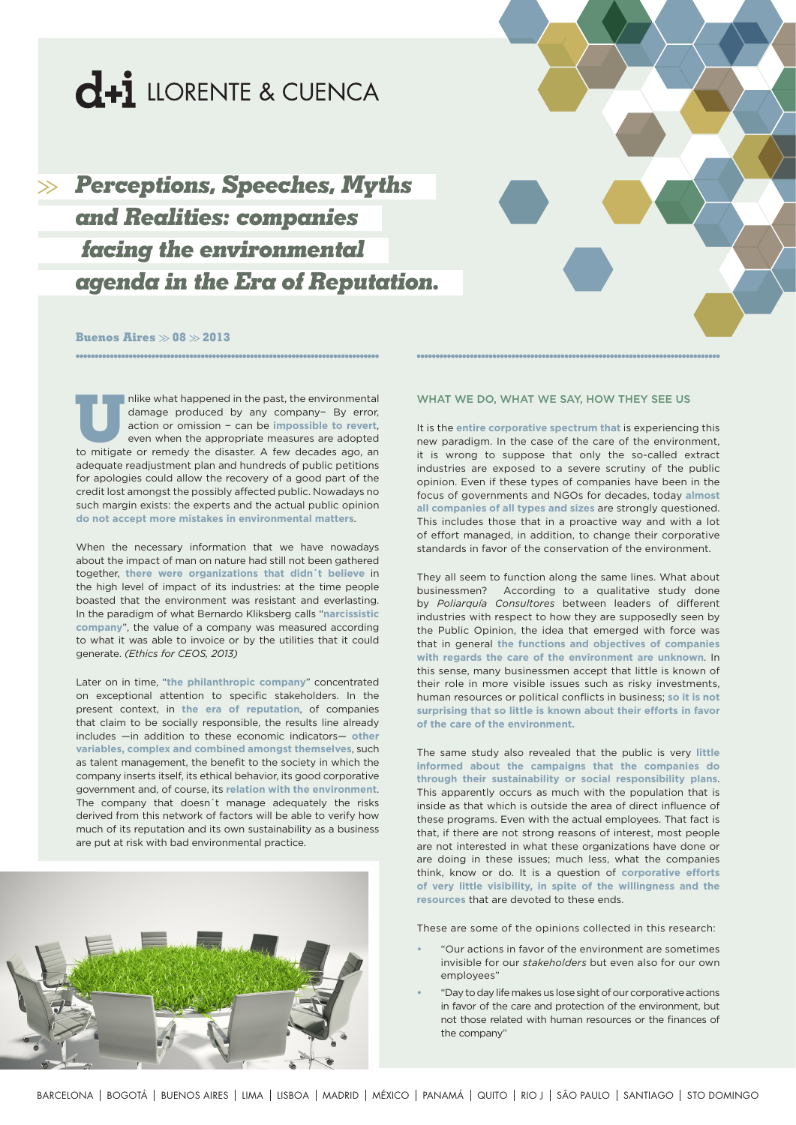

*Perceptions, Speeches, Myths and Realities: companies facing the environmental agenda in the Era of Reputation.*

## **Buenos Aires**  $\gg$  **08**  $\gg$  **2013**

Inlike what happened in the past, the environmental<br>damage produced by any company- By error,<br>action or omission – can be **impossible to revert**,<br>even when the appropriate measures are adopted<br>to mitigate or remedy the dis damage produced by any company− By error, action or omission − can be **impossible to revert**, even when the appropriate measures are adopted to mitigate or remedy the disaster. A few decades ago, an adequate readjustment plan and hundreds of public petitions for apologies could allow the recovery of a good part of the credit lost amongst the possibly affected public. Nowadays no such margin exists: the experts and the actual public opinion **do not accept more mistakes in environmental matters**.

When the necessary information that we have nowadays about the impact of man on nature had still not been gathered together, **there were organizations that didn´t believe** in the high level of impact of its industries: at the time people boasted that the environment was resistant and everlasting. In the paradigm of what Bernardo Kliksberg calls "**narcissistic company**", the value of a company was measured according to what it was able to invoice or by the utilities that it could generate. *(Ethics for CEOS, 2013)*

Later on in time, "**the philanthropic company**" concentrated on exceptional attention to specific stakeholders. In the present context, in **the era of reputation**, of companies that claim to be socially responsible, the results line already includes —in addition to these economic indicators— **other variables, complex and combined amongst themselves**, such as talent management, the benefit to the society in which the company inserts itself, its ethical behavior, its good corporative government and, of course, its **relation with the environment**. The company that doesn´t manage adequately the risks derived from this network of factors will be able to verify how much of its reputation and its own sustainability as a business are put at risk with bad environmental practice.



### WHAT WE DO, WHAT WE SAY, HOW THEY SEE US

It is the **entire corporative spectrum that** is experiencing this new paradigm. In the case of the care of the environment, it is wrong to suppose that only the so-called extract industries are exposed to a severe scrutiny of the public opinion. Even if these types of companies have been in the focus of governments and NGOs for decades, today **almost all companies of all types and sizes** are strongly questioned. This includes those that in a proactive way and with a lot of effort managed, in addition, to change their corporative standards in favor of the conservation of the environment.

They all seem to function along the same lines. What about businessmen? According to a qualitative study done by *Poliarquía Consultores* between leaders of different industries with respect to how they are supposedly seen by the Public Opinion, the idea that emerged with force was that in general **the functions and objectives of companies with regards the care of the environment are unknown**. In this sense, many businessmen accept that little is known of their role in more visible issues such as risky investments, human resources or political conflicts in business; **so it is not surprising that so little is known about their efforts in favor of the care of the environment.**

The same study also revealed that the public is very **little informed about the campaigns that the companies do through their sustainability or social responsibility plans**. This apparently occurs as much with the population that is inside as that which is outside the area of direct influence of these programs. Even with the actual employees. That fact is that, if there are not strong reasons of interest, most people are not interested in what these organizations have done or are doing in these issues; much less, what the companies think, know or do. It is a question of **corporative efforts of very little visibility, in spite of the willingness and the resources** that are devoted to these ends.

These are some of the opinions collected in this research:

- **•**  "Our actions in favor of the environment are sometimes invisible for our *stakeholders* but even also for our own employees"
- "Day to day life makes us lose sight of our corporative actions in favor of the care and protection of the environment, but not those related with human resources or the finances of the company"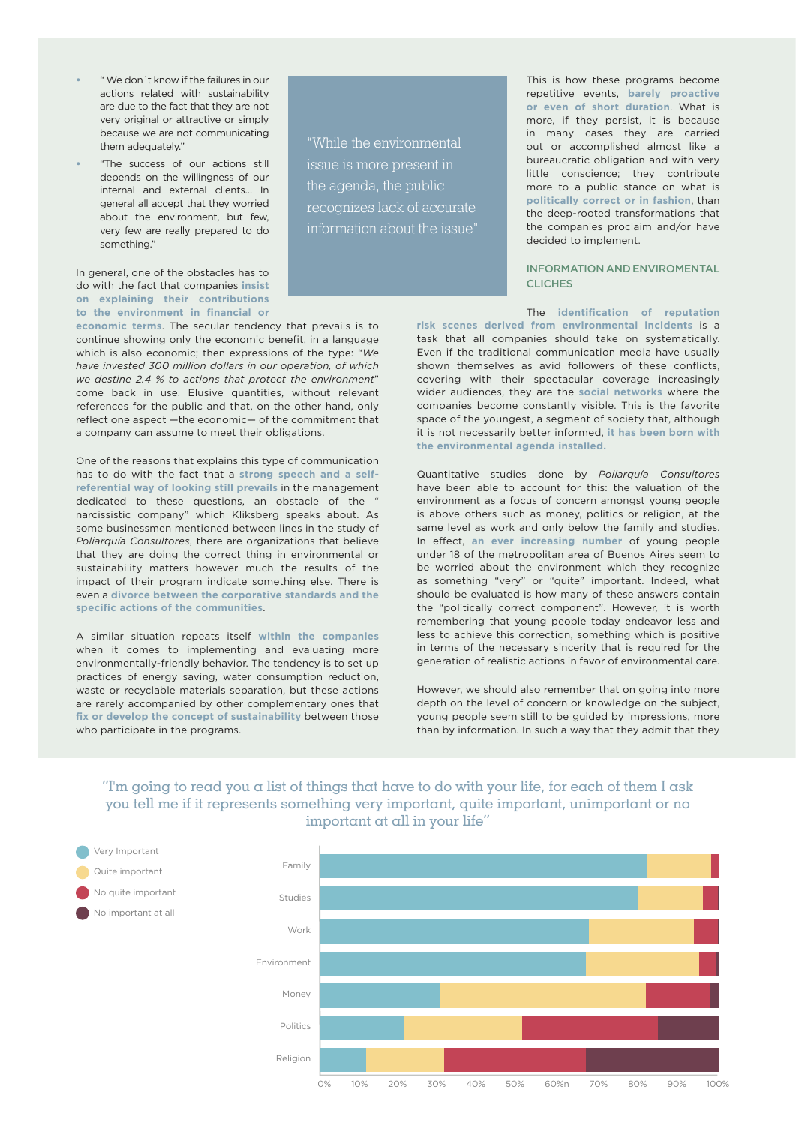- **•**  " We don´t know if the failures in our actions related with sustainability are due to the fact that they are not very original or attractive or simply because we are not communicating them adequately."
- "The success of our actions still depends on the willingness of our internal and external clients… In general all accept that they worried about the environment, but few, very few are really prepared to do something."

## In general, one of the obstacles has to do with the fact that companies **insist on explaining their contributions to the environment in financial or**

**economic terms**. The secular tendency that prevails is to continue showing only the economic benefit, in a language which is also economic; then expressions of the type: "*We have invested 300 million dollars in our operation, of which we destine 2.4 % to actions that protect the environment*" come back in use. Elusive quantities, without relevant references for the public and that, on the other hand, only reflect one aspect —the economic— of the commitment that a company can assume to meet their obligations.

One of the reasons that explains this type of communication has to do with the fact that a **strong speech and a selfreferential way of looking still prevails** in the management dedicated to these questions, an obstacle of the " narcissistic company" which Kliksberg speaks about. As some businessmen mentioned between lines in the study of *Poliarquía Consultores*, there are organizations that believe that they are doing the correct thing in environmental or sustainability matters however much the results of the impact of their program indicate something else. There is even a **divorce between the corporative standards and the specific actions of the communities**.

A similar situation repeats itself **within the companies**  when it comes to implementing and evaluating more environmentally-friendly behavior. The tendency is to set up practices of energy saving, water consumption reduction, waste or recyclable materials separation, but these actions are rarely accompanied by other complementary ones that **fix or develop the concept of sustainability** between those who participate in the programs.

**Very Important** Quite important No quite important No important at all

"While the environmental issue is more present in the agenda, the public recognizes lack of accurate information about the issue"

This is how these programs become repetitive events, **barely proactive or even of short duration**. What is more, if they persist, it is because in many cases they are carried out or accomplished almost like a bureaucratic obligation and with very little conscience; they contribute more to a public stance on what is **politically correct or in fashion**, than the deep-rooted transformations that the companies proclaim and/or have decided to implement.

## INFORMATION AND ENVIROMENTAL **CLICHES**

The **identification of reputation** 

**risk scenes derived from environmental incidents** is a task that all companies should take on systematically. Even if the traditional communication media have usually shown themselves as avid followers of these conflicts, covering with their spectacular coverage increasingly wider audiences, they are the **social networks** where the companies become constantly visible. This is the favorite space of the youngest, a segment of society that, although it is not necessarily better informed, **it has been born with the environmental agenda installed.**

Quantitative studies done by *Poliarquía Consultores*  have been able to account for this: the valuation of the environment as a focus of concern amongst young people is above others such as money, politics or religion, at the same level as work and only below the family and studies. In effect, **an ever increasing number** of young people under 18 of the metropolitan area of Buenos Aires seem to be worried about the environment which they recognize as something "very" or "quite" important. Indeed, what should be evaluated is how many of these answers contain the "politically correct component". However, it is worth remembering that young people today endeavor less and less to achieve this correction, something which is positive in terms of the necessary sincerity that is required for the generation of realistic actions in favor of environmental care.

However, we should also remember that on going into more depth on the level of concern or knowledge on the subject, young people seem still to be guided by impressions, more than by information. In such a way that they admit that they

# The going to read you a list of things that have to do with your life, for each of them I ask you tell me if it represents something very important, quite important, unimportant or no important at all in your life"

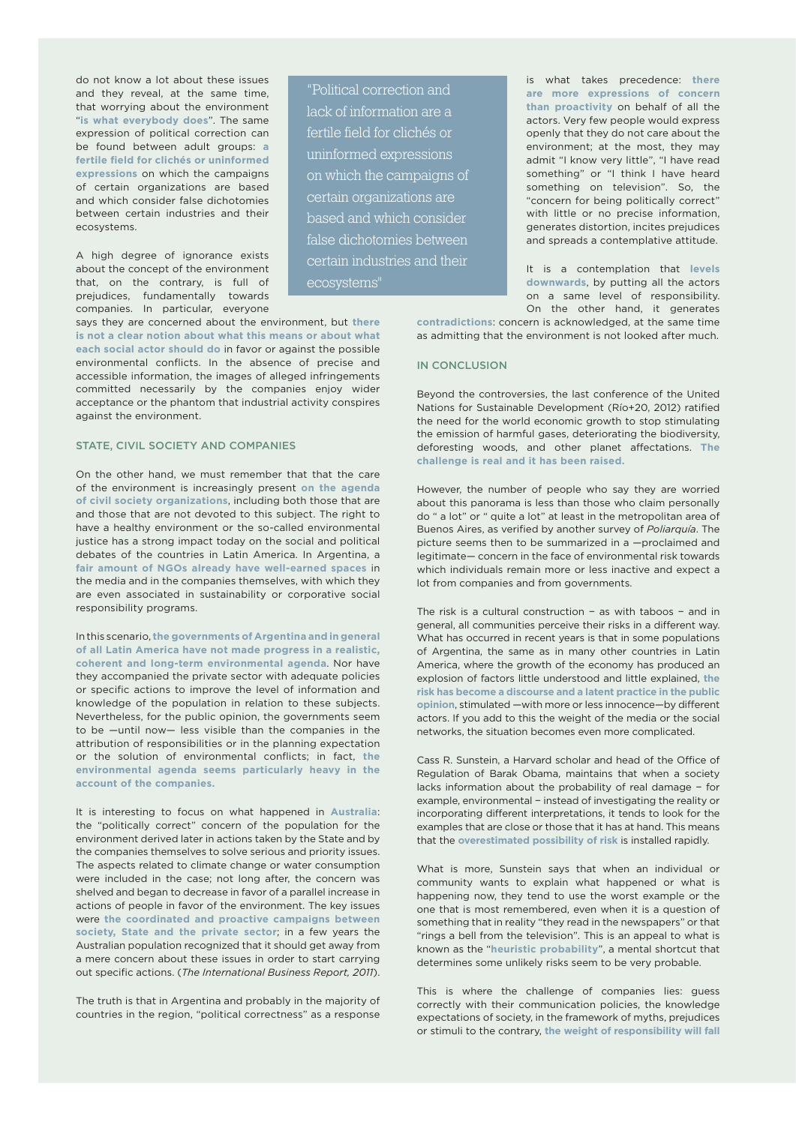do not know a lot about these issues and they reveal, at the same time, that worrying about the environment "**is what everybody does**". The same expression of political correction can be found between adult groups: **a fertile field for clichés or uninformed expressions** on which the campaigns of certain organizations are based and which consider false dichotomies between certain industries and their ecosystems.

A high degree of ignorance exists about the concept of the environment that, on the contrary, is full of prejudices, fundamentally towards companies. In particular, everyone

says they are concerned about the environment, but **there is not a clear notion about what this means or about what each social actor should do** in favor or against the possible environmental conflicts. In the absence of precise and accessible information, the images of alleged infringements committed necessarily by the companies enjoy wider acceptance or the phantom that industrial activity conspires against the environment.

## STATE, CIVIL SOCIETY AND COMPANIES

On the other hand, we must remember that that the care of the environment is increasingly present **on the agenda of civil society organizations**, including both those that are and those that are not devoted to this subject. The right to have a healthy environment or the so-called environmental justice has a strong impact today on the social and political debates of the countries in Latin America. In Argentina, a **fair amount of NGOs already have well-earned spaces** in the media and in the companies themselves, with which they are even associated in sustainability or corporative social responsibility programs.

In this scenario, **the governments of Argentina and in general of all Latin America have not made progress in a realistic, coherent and long-term environmental agenda**. Nor have they accompanied the private sector with adequate policies or specific actions to improve the level of information and knowledge of the population in relation to these subjects. Nevertheless, for the public opinion, the governments seem to be —until now— less visible than the companies in the attribution of responsibilities or in the planning expectation or the solution of environmental conflicts; in fact, **the environmental agenda seems particularly heavy in the account of the companies.**

It is interesting to focus on what happened in **Australia**: the "politically correct" concern of the population for the environment derived later in actions taken by the State and by the companies themselves to solve serious and priority issues. The aspects related to climate change or water consumption were included in the case; not long after, the concern was shelved and began to decrease in favor of a parallel increase in actions of people in favor of the environment. The key issues were **the coordinated and proactive campaigns between society, State and the private sector**; in a few years the Australian population recognized that it should get away from a mere concern about these issues in order to start carrying out specific actions. (*The International Business Report, 2011*).

The truth is that in Argentina and probably in the majority of countries in the region, "political correctness" as a response

"Political correction and lack of information are a fertile field for clichés or uninformed expressions on which the campaigns of certain organizations are based and which consider false dichotomies between certain industries and their ecosystems"

is what takes precedence: **there are more expressions of concern than proactivity** on behalf of all the actors. Very few people would express openly that they do not care about the environment; at the most, they may admit "I know very little", "I have read something" or "I think I have heard something on television". So, the "concern for being politically correct" with little or no precise information, generates distortion, incites prejudices and spreads a contemplative attitude.

It is a contemplation that **levels downwards**, by putting all the actors on a same level of responsibility. On the other hand, it generates

**contradictions**: concern is acknowledged, at the same time as admitting that the environment is not looked after much.

#### IN CONCLUSION

Beyond the controversies, the last conference of the United Nations for Sustainable Development (Río+20, 2012) ratified the need for the world economic growth to stop stimulating the emission of harmful gases, deteriorating the biodiversity, deforesting woods, and other planet affectations. **The challenge is real and it has been raised.**

However, the number of people who say they are worried about this panorama is less than those who claim personally do " a lot" or " quite a lot" at least in the metropolitan area of Buenos Aires, as verified by another survey of *Poliarquía*. The picture seems then to be summarized in a —proclaimed and legitimate— concern in the face of environmental risk towards which individuals remain more or less inactive and expect a lot from companies and from governments.

The risk is a cultural construction − as with taboos − and in general, all communities perceive their risks in a different way. What has occurred in recent years is that in some populations of Argentina, the same as in many other countries in Latin America, where the growth of the economy has produced an explosion of factors little understood and little explained, **the risk has become a discourse and a latent practice in the public opinion**, stimulated —with more or less innocence—by different actors. If you add to this the weight of the media or the social networks, the situation becomes even more complicated.

Cass R. Sunstein, a Harvard scholar and head of the Office of Regulation of Barak Obama, maintains that when a society lacks information about the probability of real damage − for example, environmental − instead of investigating the reality or incorporating different interpretations, it tends to look for the examples that are close or those that it has at hand. This means that the **overestimated possibility of risk** is installed rapidly.

What is more, Sunstein says that when an individual or community wants to explain what happened or what is happening now, they tend to use the worst example or the one that is most remembered, even when it is a question of something that in reality "they read in the newspapers" or that "rings a bell from the television". This is an appeal to what is known as the "**heuristic probability**", a mental shortcut that determines some unlikely risks seem to be very probable.

This is where the challenge of companies lies: guess correctly with their communication policies, the knowledge expectations of society, in the framework of myths, prejudices or stimuli to the contrary, **the weight of responsibility will fall**